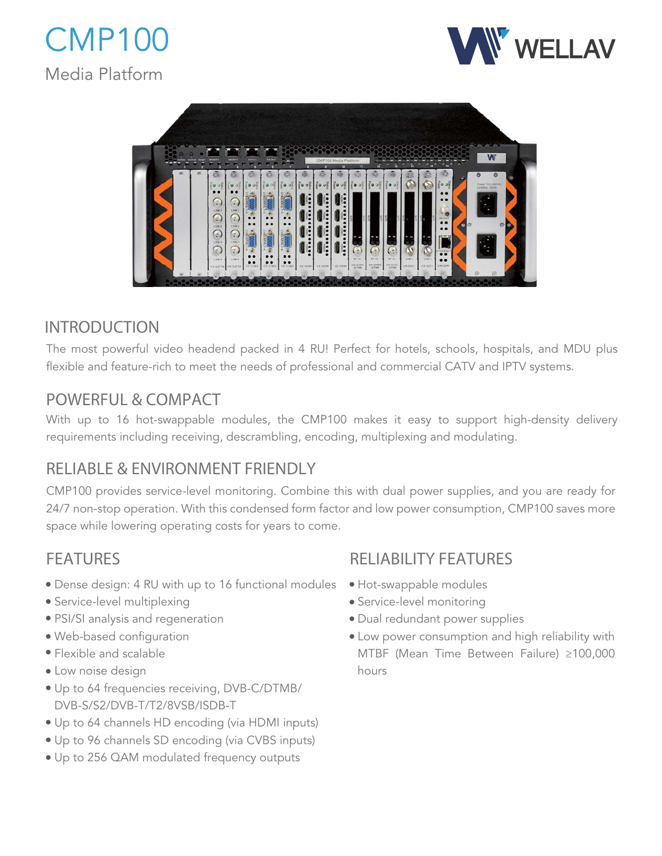





# INTRODUCTION

The most powerful video headend packed in 4 RU! Perfect for hotels, schools, hospitals, and MDU plus flexible and feature-rich to meet the needs of professional and commercial CATV and IPTV systems.

# POWERFUL & COMPACT

With up to 16 hot-swappable modules, the CMP100 makes it easy to support high-density delivery requirements including receiving, descrambling, encoding, multiplexing and modulating.

# RELIABLE & ENVIRONMENT FRIENDLY

CMP100 provides service-level monitoring. Combine this with dual power supplies, and you are ready for 24/7 non-stop operation. With this condensed form factor and low power consumption, CMP100 saves more space while lowering operating costs for years to come.

# FEATURES

- Dense design: 4 RU with up to 16 functional modules
- Service-level multiplexing
- PSI/SI analysis and regeneration
- Web-based configuration
- Flexible and scalable
- Low noise design
- Up to 64 frequencies receiving, DVB-C/DTMB/ DVB-S/S2/DVB-T/T2/8VSB/ISDB-T
- Up to 64 channels HD encoding (via HDMI inputs)
- Up to 96 channels SD encoding (via CVBS inputs)
- Up to 256 QAM modulated frequency outputs

# RELIABILITY FEATURES

- Hot-swappable modules
- Service-level monitoring
- Dual redundant power supplies
- Low power consumption and high reliability with MTBF (Mean Time Between Failure) ≥100,000 hours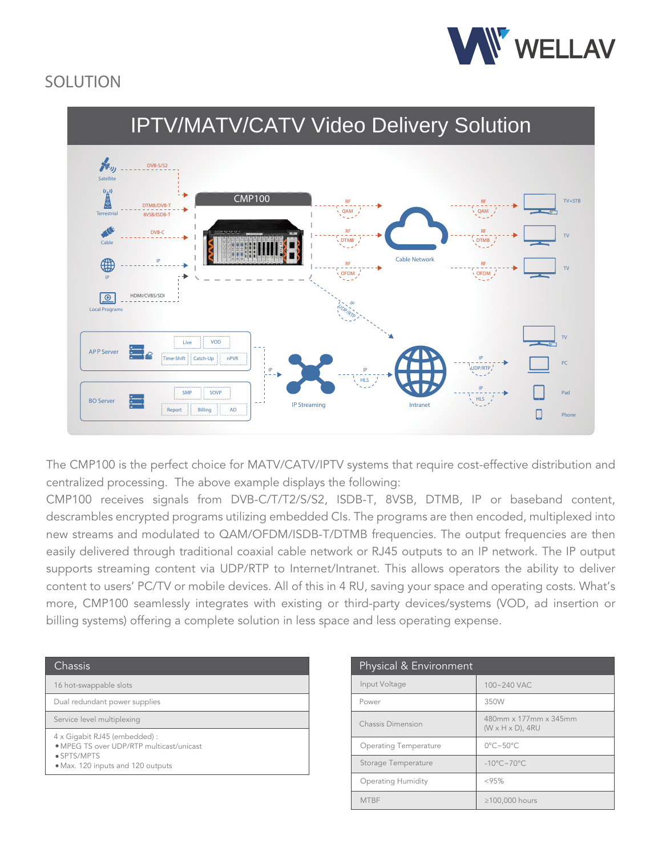

# SOLUTION



The CMP100 is the perfect choice for MATV/CATV/IPTV systems that require cost-effective distribution and centralized processing. The above example displays the following:

CMP100 receives signals from DVB-C/T/T2/S/S2, ISDB-T, 8VSB, DTMB, IP or baseband content, descrambles encrypted programs utilizing embedded CIs. The programs are then encoded, multiplexed into new streams and modulated to QAM/OFDM/ISDB-T/DTMB frequencies. The output frequencies are then easily delivered through traditional coaxial cable network or RJ45 outputs to an IP network. The IP output supports streaming content via UDP/RTP to Internet/Intranet. This allows operators the ability to deliver content to users' PC/TV or mobile devices. All of this in 4 RU, saving your space and operating costs. What's more, CMP100 seamlessly integrates with existing or third-party devices/systems (VOD, ad insertion or billing systems) offering a complete solution in less space and less operating expense.

| <b>Chassis</b>                                                            | Physical & Environment       |
|---------------------------------------------------------------------------|------------------------------|
| 16 hot-swappable slots                                                    | Input Voltage                |
| Dual redundant power supplies                                             | Power                        |
| Service level multiplexing                                                | Chassis Dimension            |
| 4 x Gigabit RJ45 (embedded) :<br>• MPEG TS over UDP/RTP multicast/unicast | <b>Operating Temperature</b> |
| • SPTS/MPTS<br>• Max. 120 inputs and 120 outputs                          | Storage Temperature          |
|                                                                           | Operating Humidity           |

| Physical & Environment       |                                                        |  |
|------------------------------|--------------------------------------------------------|--|
| Input Voltage                | 100~240 VAC                                            |  |
| Power                        | 350W                                                   |  |
| Chassis Dimension            | 480mm x 177mm x 345mm<br>$(W \times H \times D)$ , 4RU |  |
| <b>Operating Temperature</b> | $0^{\circ}$ C~50 $^{\circ}$ C                          |  |
| Storage Temperature          | $-10^{\circ}$ C~70 $^{\circ}$ C                        |  |
| <b>Operating Humidity</b>    | <95%                                                   |  |
| <b>MTBF</b>                  | ≥100,000 hours                                         |  |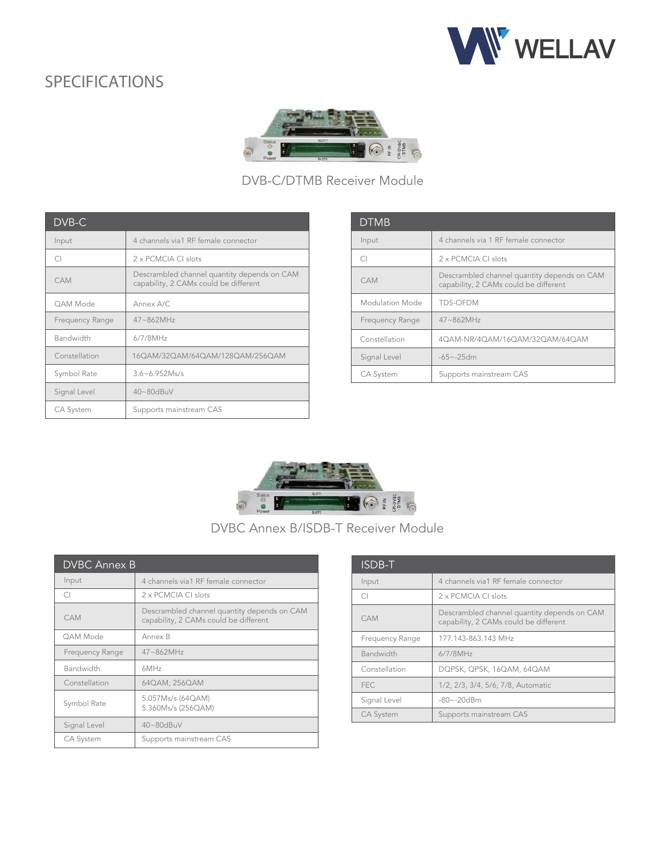



### DVB-C/DTMB Receiver Module

| DVB-C           |                                                                                      |
|-----------------|--------------------------------------------------------------------------------------|
| Input           | 4 channels via1 RF female connector                                                  |
| CΙ              | 2 x PCMCIA CL slots                                                                  |
| CAM             | Descrambled channel quantity depends on CAM<br>capability, 2 CAMs could be different |
| OAM Mode        | Annex A/C                                                                            |
| Frequency Range | 47~862MHz                                                                            |
| Bandwidth       | $6/7/8$ MHz                                                                          |
| Constellation   | 160AM/320AM/640AM/1280AM/2560AM                                                      |
| Symbol Rate     | $3.6 - 6.952$ Ms/s                                                                   |
| Signal Level    | 40~80dBuV                                                                            |
| CA System       | Supports mainstream CAS                                                              |

| <b>DTMB</b>      |                                                                                      |
|------------------|--------------------------------------------------------------------------------------|
| Input            | 4 channels via 1 RF female connector                                                 |
| CI.              | 2 x PCMCIA CI slots                                                                  |
| CAM              | Descrambled channel quantity depends on CAM<br>capability, 2 CAMs could be different |
| Modulation Mode  | <b>TDS-OFDM</b>                                                                      |
| Frequency Range  | $47 - 862MHz$                                                                        |
| Constellation    | 4QAM-NR/4QAM/16QAM/32QAM/64QAM                                                       |
| Signal Level     | $-65 - 25$ dm                                                                        |
| <b>CA System</b> | Supports mainstream CAS                                                              |



DVBC Annex B/ISDB-T Receiver Module

| <b>DVBC Annex B</b> |                                                                                      |  |
|---------------------|--------------------------------------------------------------------------------------|--|
| Input               | 4 channels via1 RF female connector                                                  |  |
| $\cap$              | 2 x PCMCIA CI slots                                                                  |  |
| CAM                 | Descrambled channel quantity depends on CAM<br>capability, 2 CAMs could be different |  |
| OAM Mode            | Annex B                                                                              |  |
| Frequency Range     | $47 - 862$ MHz                                                                       |  |
| Bandwidth           | 6MHz                                                                                 |  |
| Constellation       | 64QAM, 256QAM                                                                        |  |
| Symbol Rate         | 5.057Ms/s (64QAM)<br>5.360Ms/s (256QAM)                                              |  |
| Signal Level        | 40~80dBuV                                                                            |  |
| <b>CA System</b>    | Supports mainstream CAS                                                              |  |

| ISDB-T           |                                                                                      |
|------------------|--------------------------------------------------------------------------------------|
| Input            | 4 channels via1 RF female connector                                                  |
| $\bigcap$        | 2 x PCMCIA CI slots                                                                  |
| CAM              | Descrambled channel quantity depends on CAM<br>capability, 2 CAMs could be different |
| Frequency Range  | 177.143-863.143 MHz                                                                  |
| Bandwidth        | $6/7/8$ MHz                                                                          |
| Constellation    | DQPSK, QPSK, 16QAM, 64QAM                                                            |
| <b>FEC</b>       | 1/2, 2/3, 3/4, 5/6, 7/8, Automatic                                                   |
| Signal Level     | $-80 - -20$ dBm                                                                      |
| <b>CA System</b> | Supports mainstream CAS                                                              |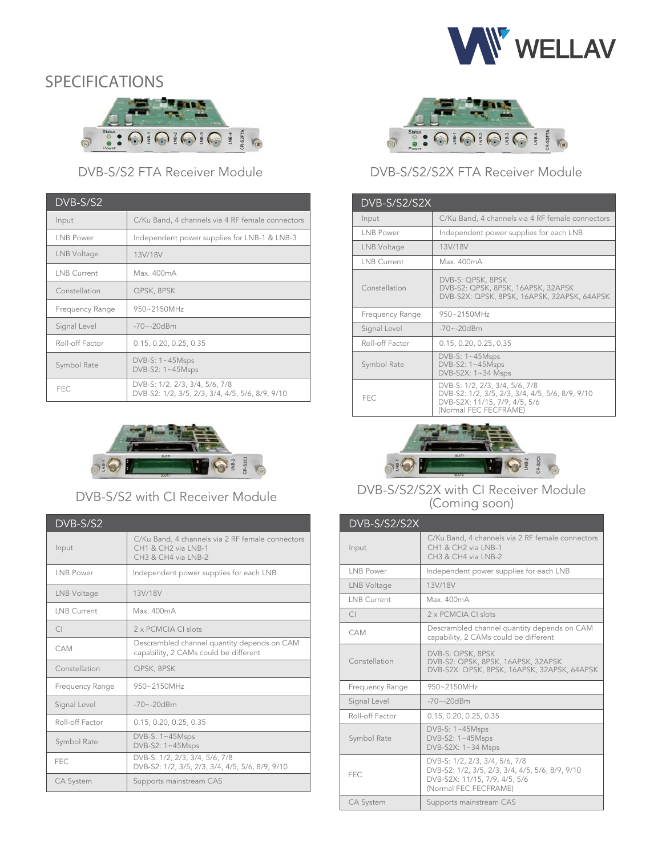



### DVB-S/S2 FTA Receiver Module

| $DVB-S/S2$         |                                                                                   |
|--------------------|-----------------------------------------------------------------------------------|
| Input              | C/Ku Band, 4 channels via 4 RF female connectors                                  |
| LNB Power          | Independent power supplies for LNB-1 & LNB-3                                      |
| LNB Voltage        | 13V/18V                                                                           |
| <b>LNB Current</b> | Max. 400mA                                                                        |
| Constellation      | QPSK, 8PSK                                                                        |
| Frequency Range    | 950~2150MHz                                                                       |
| Signal Level       | $-70 - -20dBm$                                                                    |
| Roll-off Factor    | 0.15, 0.20, 0.25, 0.35                                                            |
| Symbol Rate        | DVB-S: $1 \sim 45Msps$<br>DVB-S2: 1~45Msps                                        |
| FEC                | DVB-S: 1/2, 2/3, 3/4, 5/6, 7/8<br>DVB-S2: 1/2, 3/5, 2/3, 3/4, 4/5, 5/6, 8/9, 9/10 |



DVB-S/S2 with CI Receiver Module

| DVB-S/S2           |                                                                                                                        |
|--------------------|------------------------------------------------------------------------------------------------------------------------|
| Input              | C/Ku Band, 4 channels via 2 RF female connectors<br>CH1 & CH2 via LNB-1<br>CH <sub>3</sub> & CH <sub>4</sub> via LNB-2 |
| LNB Power          | Independent power supplies for each LNB                                                                                |
| LNB Voltage        | 13V/18V                                                                                                                |
| <b>LNB Current</b> | Max. 400mA                                                                                                             |
| $\bigcap$          | 2 x PCMCIA CI slots                                                                                                    |
| <b>CAM</b>         | Descrambled channel quantity depends on CAM<br>capability, 2 CAMs could be different                                   |
| Constellation      | QPSK, 8PSK                                                                                                             |
| Frequency Range    | 950~2150MHz                                                                                                            |
| Signal Level       | $-70 - -20dBm$                                                                                                         |
| Roll-off Factor    | 0.15, 0.20, 0.25, 0.35                                                                                                 |
| Symbol Rate        | DVB-S: $1~-45$ Msps<br>DVB-S2: 1~45Msps                                                                                |
| <b>FEC</b>         | DVB-S: 1/2, 2/3, 3/4, 5/6, 7/8<br>DVB-S2: 1/2, 3/5, 2/3, 3/4, 4/5, 5/6, 8/9, 9/10                                      |
| <b>CA System</b>   | Supports mainstream CAS                                                                                                |



### DVB-S/S2/S2X FTA Receiver Module

| DVB-S/S2/S2X       |                                                                                                                                             |
|--------------------|---------------------------------------------------------------------------------------------------------------------------------------------|
| Input              | C/Ku Band, 4 channels via 4 RF female connectors                                                                                            |
| LNB Power          | Independent power supplies for each LNB                                                                                                     |
| LNB Voltage        | 13V/18V                                                                                                                                     |
| <b>LNB Current</b> | Max. 400mA                                                                                                                                  |
| Constellation      | DVB-S: QPSK, 8PSK<br>DVB-S2: QPSK, 8PSK, 16APSK, 32APSK<br>DVB-S2X: QPSK, 8PSK, 16APSK, 32APSK, 64APSK                                      |
| Frequency Range    | $950 - 2150$ MH <sub>z</sub>                                                                                                                |
| Signal Level       | $-70 - -20dBm$                                                                                                                              |
| Roll-off Factor    | 0.15, 0.20, 0.25, 0.35                                                                                                                      |
| Symbol Rate        | DVB-S: $1~-45$ Msps<br>DVB-S2: $1~-45$ Msps<br>DVB-S2X: 1~34 Msps                                                                           |
| <b>FEC</b>         | DVB-S: 1/2, 2/3, 3/4, 5/6, 7/8<br>DVB-S2: 1/2, 3/5, 2/3, 3/4, 4/5, 5/6, 8/9, 9/10<br>DVB-S2X: 11/15, 7/9, 4/5, 5/6<br>(Normal FEC FECFRAME) |



#### DVB-S/S2/S2X with CI Receiver Module (Coming soon)

| DVB-S/S2/S2X     |                                                                                                                                             |
|------------------|---------------------------------------------------------------------------------------------------------------------------------------------|
| Input            | C/Ku Band, 4 channels via 2 RF female connectors<br>CH1 & CH2 via LNB-1<br>CH3 & CH4 via LNB-2                                              |
| INB Power        | Independent power supplies for each LNB                                                                                                     |
| LNB Voltage      | 13V/18V                                                                                                                                     |
| LNB Current      | Max. 400mA                                                                                                                                  |
| $\cap$           | 2 x PCMCIA CL slots                                                                                                                         |
| CAM              | Descrambled channel quantity depends on CAM<br>capability, 2 CAMs could be different                                                        |
| Constellation    | DVB-S: QPSK, 8PSK<br>DVB-S2: QPSK, 8PSK, 16APSK, 32APSK<br>DVB-S2X: QPSK, 8PSK, 16APSK, 32APSK, 64APSK                                      |
| Frequency Range  | 950~2150MHz                                                                                                                                 |
| Signal Level     | $-70 - -20dBm$                                                                                                                              |
| Roll-off Factor  | 0.15, 0.20, 0.25, 0.35                                                                                                                      |
| Symbol Rate      | DVB-S: 1~45Msps<br>DVB-S2: 1~45Msps<br>DVB-S2X: 1~34 Msps                                                                                   |
| FFC.             | DVB-S: 1/2, 2/3, 3/4, 5/6, 7/8<br>DVB-S2: 1/2, 3/5, 2/3, 3/4, 4/5, 5/6, 8/9, 9/10<br>DVB-S2X: 11/15, 7/9, 4/5, 5/6<br>(Normal FEC FECFRAME) |
| <b>CA System</b> | Supports mainstream CAS                                                                                                                     |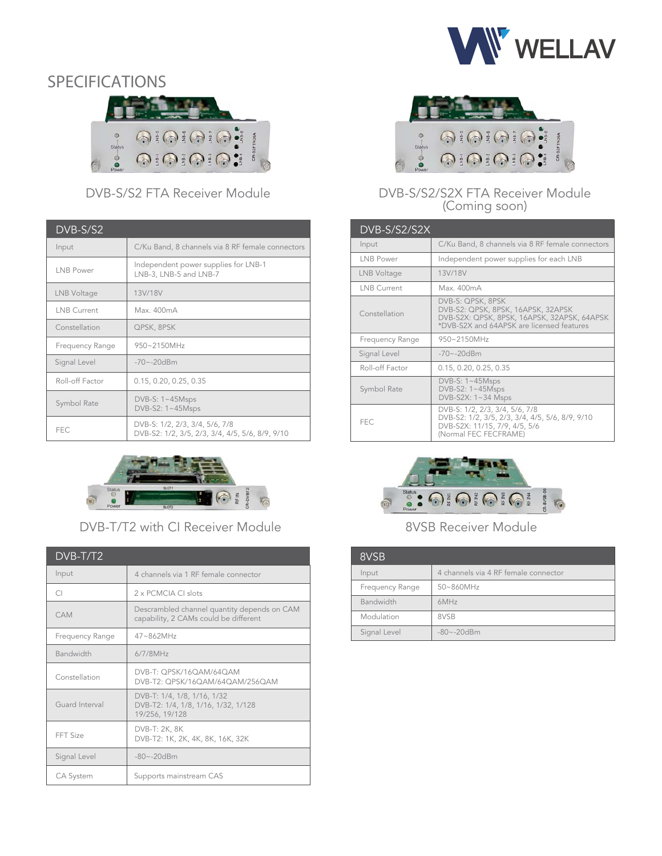

### SPECIFICATIONS  $\bigcirc \frac{1}{2} \bigcirc \frac{1}{2} \bigcirc \frac{1}{2} \bigcirc \frac{1}{2} \bigcirc \frac{1}{2} \bigcirc \frac{1}{2} \bigcirc \frac{1}{2} \bigcirc \frac{1}{2} \bigcirc \frac{1}{2}$ A00A OEOEOEO: Š.

### DVB-S/S2 FTA Receiver Module

| DVB-S/S2           |                                                                                   |
|--------------------|-----------------------------------------------------------------------------------|
| Input              | C/Ku Band, 8 channels via 8 RF female connectors                                  |
| LNB Power          | Independent power supplies for LNB-1<br>LNB-3, LNB-5 and LNB-7                    |
| LNB Voltage        | 13V/18V                                                                           |
| <b>LNB Current</b> | Max. 400mA                                                                        |
| Constellation      | QPSK, 8PSK                                                                        |
| Frequency Range    | 950~2150MHz                                                                       |
| Signal Level       | $-70 - -20dBm$                                                                    |
| Roll-off Factor    | 0.15, 0.20, 0.25, 0.35                                                            |
| Symbol Rate        | $DVB-S: 1~-45Msps$<br>$DVB-S2: 1~-45Msps$                                         |
| <b>FEC</b>         | DVB-S: 1/2, 2/3, 3/4, 5/6, 7/8<br>DVB-S2: 1/2, 3/5, 2/3, 3/4, 4/5, 5/6, 8/9, 9/10 |



DVB-T/T2 with CI Receiver Module

| DVB-T/T2         |                                                                                      |
|------------------|--------------------------------------------------------------------------------------|
| Input            | 4 channels via 1 RF female connector                                                 |
| CI.              | 2 x PCMCIA CI slots                                                                  |
| CAM              | Descrambled channel quantity depends on CAM<br>capability, 2 CAMs could be different |
| Frequency Range  | $47 - 862$ MH <sub>7</sub>                                                           |
| <b>Bandwidth</b> | $6/7/8$ MHz                                                                          |
| Constellation    | DVB-T: OPSK/16OAM/64OAM<br>DVB-T2: QPSK/16QAM/64QAM/256QAM                           |
| Guard Interval   | DVB-T: 1/4, 1/8, 1/16, 1/32<br>DVB-T2: 1/4, 1/8, 1/16, 1/32, 1/128<br>19/256, 19/128 |
| FFT Size         | DVB-T: 2K, 8K<br>DVB-T2: 1K, 2K, 4K, 8K, 16K, 32K                                    |
| Signal Level     | $-80 - -20dBm$                                                                       |
| <b>CA System</b> | Supports mainstream CAS                                                              |



#### DVB-S/S2/S2X FTA Receiver Module (Coming soon)

| <b>DVB-S/S2/S2X</b> |                                                                                                                                                     |
|---------------------|-----------------------------------------------------------------------------------------------------------------------------------------------------|
| Input               | C/Ku Band, 8 channels via 8 RF female connectors                                                                                                    |
| I NB Power          | Independent power supplies for each LNB                                                                                                             |
| LNB Voltage         | 13V/18V                                                                                                                                             |
| LNB Current         | Max 400mA                                                                                                                                           |
| Constellation       | DVB-S: QPSK, 8PSK<br>DVB-S2: QPSK, 8PSK, 16APSK, 32APSK<br>DVB-S2X: QPSK, 8PSK, 16APSK, 32APSK, 64APSK<br>*DVB-S2X and 64APSK are licensed features |
| Frequency Range     | 950~2150MHz                                                                                                                                         |
| Signal Level        | $-70 - -20dBm$                                                                                                                                      |
| Roll-off Factor     | 0.15, 0.20, 0.25, 0.35                                                                                                                              |
| Symbol Rate         | DVB-S: $1~-45$ Msps<br>DVB-S2: 1~45Msps<br>DVB-S2X: 1~34 Msps                                                                                       |
| <b>FEC</b>          | DVB-S: 1/2, 2/3, 3/4, 5/6, 7/8<br>DVB-S2: 1/2, 3/5, 2/3, 3/4, 4/5, 5/6, 8/9, 9/10<br>DVB-S2X: 11/15, 7/9, 4/5, 5/6<br>(Normal FEC FECFRAME)         |



#### 8VSB Receiver Module

| 8VSB            |                                      |
|-----------------|--------------------------------------|
| Input           | 4 channels via 4 RF female connector |
| Frequency Range | 50~860MHz                            |
| Bandwidth       | 6MHz                                 |
| Modulation      | 8VSB                                 |
| Signal Level    | $-80 - -20dBm$                       |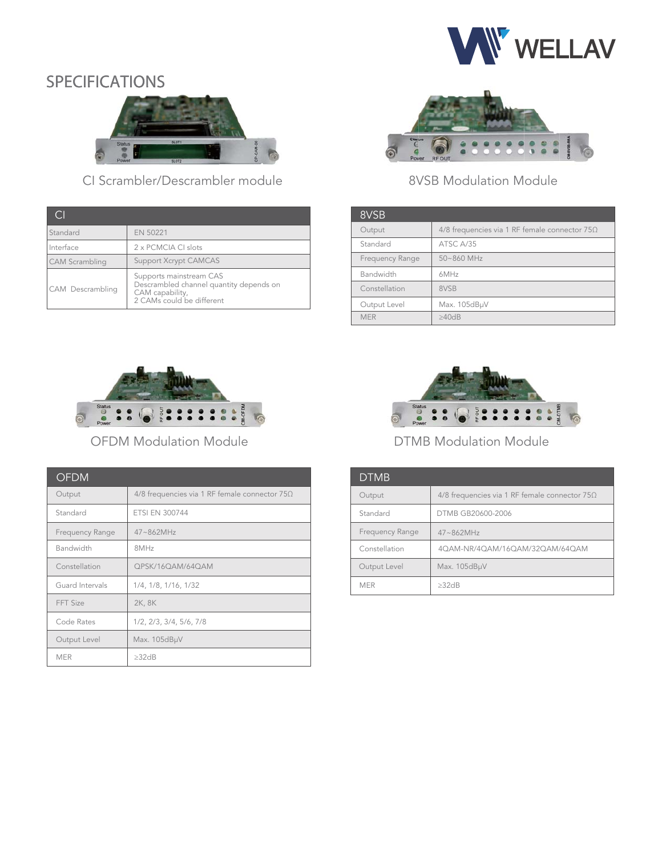



CI Scrambler/Descrambler module

| Standard         | EN 50221                                                                                                           |
|------------------|--------------------------------------------------------------------------------------------------------------------|
| Interface        | 2 x PCMCIA CI slots                                                                                                |
| CAM Scrambling   | <b>Support Xcrypt CAMCAS</b>                                                                                       |
| CAM Descrambling | Supports mainstream CAS<br>Descrambled channel quantity depends on<br>CAM capability,<br>2 CAMs could be different |



### 8VSB Modulation Module

| 8VSB            |                                                 |
|-----------------|-------------------------------------------------|
| Output          | 4/8 frequencies via 1 RF female connector $75Ω$ |
| Standard        | ATSC A/35                                       |
| Frequency Range | 50~860 MHz                                      |
| Bandwidth       | 6MHz                                            |
| Constellation   | 8VSB                                            |
| Output Level    | Max. 105dBµV                                    |
| <b>MFR</b>      | >40dB                                           |



OFDM Modulation Module

| <b>OFDM</b>     |                                                      |
|-----------------|------------------------------------------------------|
| Output          | 4/8 frequencies via 1 RF female connector $75\Omega$ |
| Standard        | <b>ETSI EN 300744</b>                                |
| Frequency Range | $47 - 862MHz$                                        |
| Bandwidth       | 8MHz                                                 |
| Constellation   | QPSK/16QAM/64QAM                                     |
| Guard Intervals | 1/4, 1/8, 1/16, 1/32                                 |
| FFT Size        | 2K, 8K                                               |
| Code Rates      | 1/2, 2/3, 3/4, 5/6, 7/8                              |
| Output Level    | Max. 105dBµV                                         |
| <b>MER</b>      | >32dB                                                |



### DTMB Modulation Module

| <b>DTMB</b>     |                                                      |
|-----------------|------------------------------------------------------|
| Output          | 4/8 frequencies via 1 RF female connector $75\Omega$ |
| Standard        | DTMB GB20600-2006                                    |
| Frequency Range | $47 - 862$ MHz                                       |
| Constellation   | 40AM-NR/40AM/160AM/320AM/640AM                       |
| Output Level    | Max. 105dBµV                                         |
| <b>MFR</b>      | $>32$ d $B$                                          |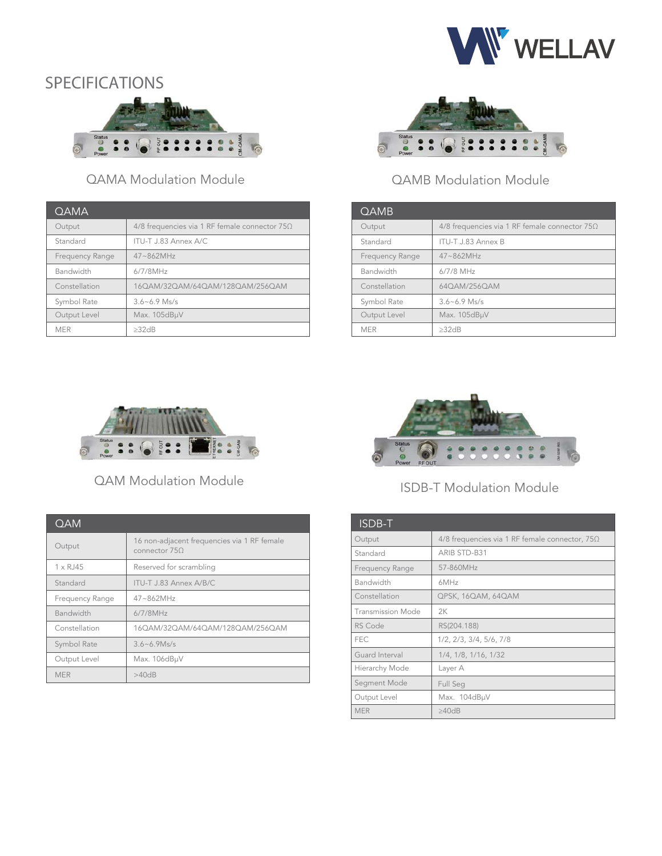

# SPECIFICATIONS PECIFICATIONS



### QAMA Modulation Module

| <b>OAMA</b>     |                                                 |
|-----------------|-------------------------------------------------|
| Output          | 4/8 frequencies via 1 RF female connector $75Ω$ |
| Standard        | ITU-T J.83 Annex A/C                            |
| Frequency Range | $47 - 862MHz$                                   |
| Bandwidth       | $6/7/8$ MHz                                     |
| Constellation   | 160AM/320AM/640AM/1280AM/2560AM                 |
| Symbol Rate     | $3.6 - 6.9$ Ms/s                                |
| Output Level    | Max. 105dBµV                                    |
| <b>MFR</b>      | >32dB                                           |



### QAMB Modulation Module

| QAMB            |                                                 |
|-----------------|-------------------------------------------------|
| Output          | 4/8 frequencies via 1 RF female connector $75Ω$ |
| Standard        | ITU-T J.83 Annex B                              |
| Frequency Range | $47 - 862$ MHz                                  |
| Bandwidth       | $6/7/8$ MHz                                     |
| Constellation   | 640AM/2560AM                                    |
| Symbol Rate     | $3.6 - 6.9$ Ms/s                                |
| Output Level    | Max. 105dBµV                                    |
| <b>MFR</b>      | >32dB                                           |



QAM Modulation Module

| <b>QAM</b>         |                                                              |
|--------------------|--------------------------------------------------------------|
| Output             | 16 non-adjacent frequencies via 1 RF female<br>connector 750 |
| $1 \times R$ . 145 | Reserved for scrambling                                      |
| Standard           | ITU-T J.83 Annex A/B/C                                       |
| Frequency Range    | $47 - 862$ MHz                                               |
| <b>Bandwidth</b>   | $6/7/8$ MHz                                                  |
| Constellation      | 160AM/320AM/640AM/1280AM/2560AM                              |
| Symbol Rate        | $3.6 - 6.9$ Ms/s                                             |
| Output Level       | Max. 106dBµV                                                 |
| <b>MER</b>         | >40dB                                                        |



### ISDB-T Modulation Module

| ISDB-T            |                                                       |
|-------------------|-------------------------------------------------------|
| Output            | 4/8 frequencies via 1 RF female connector, $75\Omega$ |
| Standard          | ARIB STD-B31                                          |
| Frequency Range   | 57-860MHz                                             |
| Bandwidth         | 6MHz                                                  |
| Constellation     | QPSK, 16QAM, 64QAM                                    |
| Transmission Mode | 2K                                                    |
| RS Code           | RS(204.188)                                           |
| <b>FEC</b>        | 1/2, 2/3, 3/4, 5/6, 7/8                               |
| Guard Interval    | 1/4, 1/8, 1/16, 1/32                                  |
| Hierarchy Mode    | Layer A                                               |
| Segment Mode      | Full Seq                                              |
| Output Level      | Max. 104dBµV                                          |
| <b>MER</b>        | $\geq 40$ dB                                          |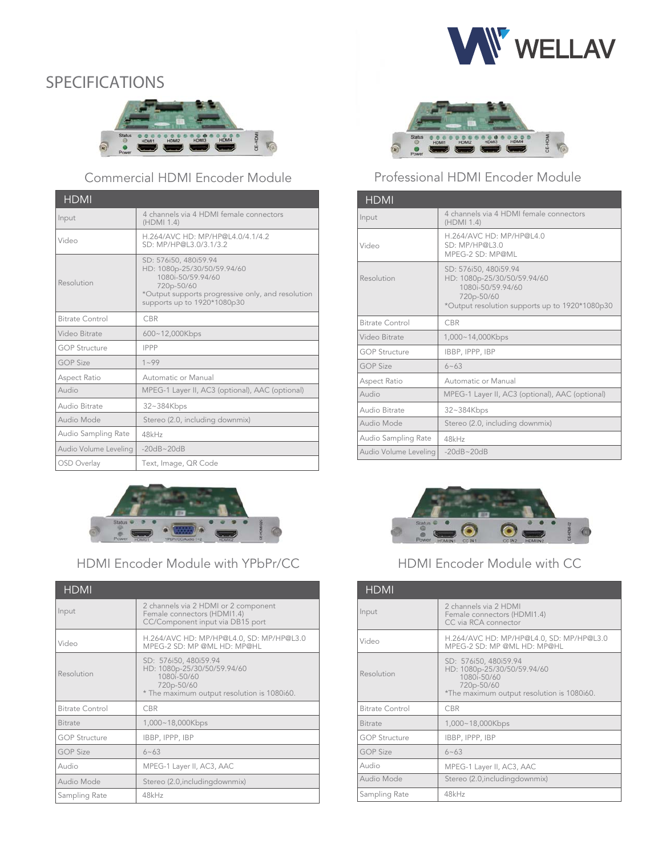



### Commercial HDMI Encoder Module

| <b>HDMI</b>           |                                                                                                                                                                             |
|-----------------------|-----------------------------------------------------------------------------------------------------------------------------------------------------------------------------|
| Input                 | 4 channels via 4 HDMI female connectors<br>(HDMI 1.4)                                                                                                                       |
| Video                 | H.264/AVC HD: MP/HP@L4.0/4.1/4.2<br>SD: MP/HP@L3.0/3.1/3.2                                                                                                                  |
| Resolution            | SD: 576i50, 480i59.94<br>HD: 1080p-25/30/50/59.94/60<br>1080i-50/59.94/60<br>720p-50/60<br>*Output supports progressive only, and resolution<br>supports up to 1920*1080p30 |
| Bitrate Control       | <b>CBR</b>                                                                                                                                                                  |
| Video Bitrate         | 600~12,000Kbps                                                                                                                                                              |
| <b>GOP Structure</b>  | <b>IPPP</b>                                                                                                                                                                 |
| <b>GOP Size</b>       | $1 - 99$                                                                                                                                                                    |
| Aspect Ratio          | Automatic or Manual                                                                                                                                                         |
| Audio                 | MPEG-1 Layer II, AC3 (optional), AAC (optional)                                                                                                                             |
| Audio Bitrate         | 32~384Kbps                                                                                                                                                                  |
| Audio Mode            | Stereo (2.0, including downmix)                                                                                                                                             |
| Audio Sampling Rate   | 48kHz                                                                                                                                                                       |
| Audio Volume Leveling | $-20dB - 20dB$                                                                                                                                                              |
| OSD Overlay           | Text, Image, QR Code                                                                                                                                                        |



### HDMI Encoder Module with YPbPr/CC

| <b>HDMI</b>            |                                                                                                                                  |
|------------------------|----------------------------------------------------------------------------------------------------------------------------------|
| Input                  | 2 channels via 2 HDMI or 2 component<br>Female connectors (HDMI1.4)<br>CC/Component input via DB15 port                          |
| Video                  | H.264/AVC HD: MP/HP@L4.0, SD: MP/HP@L3.0<br>MPEG-2 SD: MP @ML HD: MP@HL                                                          |
| Resolution             | SD: 576i50, 480i59.94<br>HD: 1080p-25/30/50/59.94/60<br>1080i-50/60<br>720p-50/60<br>* The maximum output resolution is 1080i60. |
| <b>Bitrate Control</b> | <b>CBR</b>                                                                                                                       |
| <b>Bitrate</b>         | 1,000~18,000Kbps                                                                                                                 |
| <b>GOP Structure</b>   | IBBP, IPPP, IBP                                                                                                                  |
| <b>GOP Size</b>        | $6 - 63$                                                                                                                         |
| Audio                  | MPEG-1 Layer II, AC3, AAC                                                                                                        |
| Audio Mode             | Stereo (2.0, includingdownmix)                                                                                                   |
| Sampling Rate          | 48kHz                                                                                                                            |



### Professional HDMI Encoder Module

| <b>HDMI</b>           |                                                                                                                                           |
|-----------------------|-------------------------------------------------------------------------------------------------------------------------------------------|
| Input                 | 4 channels via 4 HDMI female connectors<br>(HDMI 1.4)                                                                                     |
| Video                 | H.264/AVC HD: MP/HP@L4.0<br>SD: MP/HP@L3.0<br>MPEG-2 SD: MP@ML                                                                            |
| Resolution            | SD: 576i50, 480i59.94<br>HD: 1080p-25/30/50/59.94/60<br>1080i-50/59 94/60<br>720p-50/60<br>*Output resolution supports up to 1920*1080p30 |
| Bitrate Control       | <b>CBR</b>                                                                                                                                |
| Video Bitrate         | 1,000~14,000Kbps                                                                                                                          |
| <b>GOP Structure</b>  | IBBP, IPPP, IBP                                                                                                                           |
| <b>GOP Size</b>       | $6 - 63$                                                                                                                                  |
| Aspect Ratio          | Automatic or Manual                                                                                                                       |
| Audio                 | MPEG-1 Layer II, AC3 (optional), AAC (optional)                                                                                           |
| Audio Bitrate         | 32~384Kbps                                                                                                                                |
| Audio Mode            | Stereo (2.0, including downmix)                                                                                                           |
| Audio Sampling Rate   | 48kHz                                                                                                                                     |
| Audio Volume Leveling | $-20dB - 20dB$                                                                                                                            |



### HDMI Encoder Module with CC

| <b>HDMI</b>            |                                                                                                                                 |
|------------------------|---------------------------------------------------------------------------------------------------------------------------------|
| Input                  | 2 channels via 2 HDMI<br>Female connectors (HDMI1.4)<br>CC via RCA connector                                                    |
| Video                  | H.264/AVC HD: MP/HP@L4.0, SD: MP/HP@L3.0<br>MPEG-2 SD: MP @ML HD: MP@HL                                                         |
| Resolution             | SD: 576i50, 480i59.94<br>HD: 1080p-25/30/50/59.94/60<br>1080i-50/60<br>720p-50/60<br>*The maximum output resolution is 1080i60. |
| <b>Bitrate Control</b> | <b>CBR</b>                                                                                                                      |
| <b>Bitrate</b>         | 1,000~18,000Kbps                                                                                                                |
| <b>GOP Structure</b>   | IBBP, IPPP, IBP                                                                                                                 |
| <b>GOP Size</b>        | $6 - 63$                                                                                                                        |
| Audio                  | MPEG-1 Layer II, AC3, AAC                                                                                                       |
| Audio Mode             | Stereo (2.0, includingdownmix)                                                                                                  |
| Sampling Rate          | 48kHz                                                                                                                           |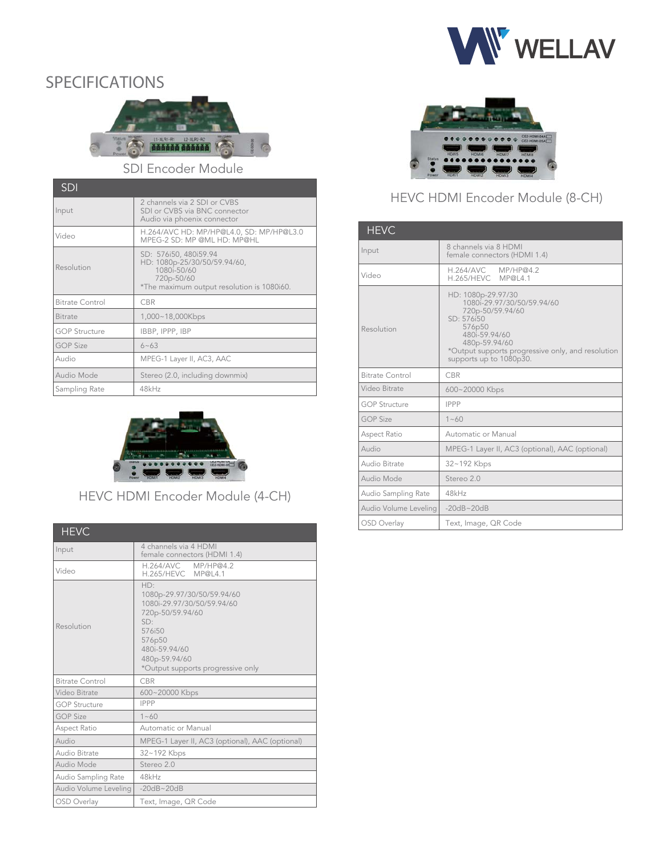



SDI Encoder Module

| <b>SDI</b>             |                                                                                                                                  |
|------------------------|----------------------------------------------------------------------------------------------------------------------------------|
| Input                  | 2 channels via 2 SDI or CVBS<br>SDI or CVBS via BNC connector<br>Audio via phoenix connector                                     |
| Video                  | H.264/AVC HD: MP/HP@L4.0, SD: MP/HP@L3.0<br>MPEG-2 SD: MP @ML HD: MP@HL                                                          |
| Resolution             | SD: 576i50, 480i59.94<br>HD: 1080p-25/30/50/59.94/60,<br>1080i-50/60<br>720p-50/60<br>*The maximum output resolution is 1080i60. |
| <b>Bitrate Control</b> | <b>CBR</b>                                                                                                                       |
| <b>Bitrate</b>         | 1,000~18,000Kbps                                                                                                                 |
| <b>GOP Structure</b>   | IBBP, IPPP, IBP                                                                                                                  |
| <b>GOP Size</b>        | $6 - 63$                                                                                                                         |
| Audio                  | MPEG-1 Layer II, AC3, AAC                                                                                                        |
| Audio Mode             | Stereo (2.0, including downmix)                                                                                                  |
| Sampling Rate          | 48kHz                                                                                                                            |



HEVC HDMI Encoder Module (4-CH)

| <b>HEVC</b>            |                                                                                                                                                                                       |
|------------------------|---------------------------------------------------------------------------------------------------------------------------------------------------------------------------------------|
| Input                  | 4 channels via 4 HDMI<br>female connectors (HDMI 1.4)                                                                                                                                 |
| Video                  | H.264/AVC MP/HP@4.2<br>H.265/HEVC MP@L4.1                                                                                                                                             |
| Resolution             | HD:<br>1080p-29.97/30/50/59.94/60<br>1080i-29.97/30/50/59.94/60<br>720p-50/59.94/60<br>SD:<br>576i50<br>576p50<br>480i-59.94/60<br>480p-59.94/60<br>*Output supports progressive only |
| <b>Bitrate Control</b> | CBR                                                                                                                                                                                   |
| Video Bitrate          | 600~20000 Kbps                                                                                                                                                                        |
| <b>GOP Structure</b>   | <b>IPPP</b>                                                                                                                                                                           |
| <b>GOP Size</b>        | $1 - 60$                                                                                                                                                                              |
| Aspect Ratio           | Automatic or Manual                                                                                                                                                                   |
| Audio                  | MPEG-1 Layer II, AC3 (optional), AAC (optional)                                                                                                                                       |
| Audio Bitrate          | 32~192 Kbps                                                                                                                                                                           |
| Audio Mode             | Stereo 2.0                                                                                                                                                                            |
| Audio Sampling Rate    | 48kHz                                                                                                                                                                                 |
| Audio Volume Leveling  | $-20dB - 20dB$                                                                                                                                                                        |
| <b>OSD</b> Overlay     | Text, Image, QR Code                                                                                                                                                                  |



### HEVC HDMI Encoder Module (8-CH)

| <b>HEVC</b>            |                                                                                                                                                                                                                |
|------------------------|----------------------------------------------------------------------------------------------------------------------------------------------------------------------------------------------------------------|
| Input                  | 8 channels via 8 HDMI<br>female connectors (HDMI 1.4)                                                                                                                                                          |
| Video                  | H.264/AVC MP/HP@4.2<br>H.265/HEVC MP@L4.1                                                                                                                                                                      |
| Resolution             | HD: 1080p-29.97/30<br>1080i-29.97/30/50/59.94/60<br>720p-50/59.94/60<br>SD: 576i50<br>576p50<br>480i-59.94/60<br>480p-59.94/60<br>*Output supports progressive only, and resolution<br>supports up to 1080p30. |
| <b>Bitrate Control</b> | <b>CBR</b>                                                                                                                                                                                                     |
| Video Bitrate          | 600~20000 Kbps                                                                                                                                                                                                 |
| <b>GOP Structure</b>   | <b>IPPP</b>                                                                                                                                                                                                    |
| <b>GOP Size</b>        | $1 - 60$                                                                                                                                                                                                       |
| Aspect Ratio           | Automatic or Manual                                                                                                                                                                                            |
| Audio                  | MPEG-1 Layer II, AC3 (optional), AAC (optional)                                                                                                                                                                |
| Audio Bitrate          | 32~192 Kbps                                                                                                                                                                                                    |
| Audio Mode             | Stereo 2.0                                                                                                                                                                                                     |
| Audio Sampling Rate    | 48kHz                                                                                                                                                                                                          |
| Audio Volume Leveling  | $-20dB - 20dB$                                                                                                                                                                                                 |
| OSD Overlay            | Text, Image, QR Code                                                                                                                                                                                           |